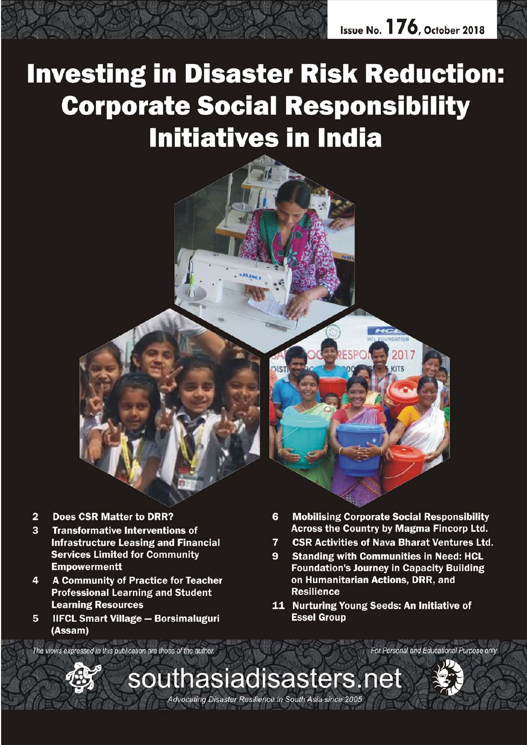

# **Investing in Disaster Risk Reduction: Corporate Social Responsibility Initiatives in India**

- **Does CSR Matter to DRR?**  $\overline{2}$
- $\mathbf{B}$ **Transformative Interventions of Infrastructure Leasing and Financial Services Limited for Community Empowermentt**
- **A Community of Practice for Teacher**  $\overline{4}$ **Professional Learning and Student Learning Resources**
- 5 **IIFCL Smart Village - Borsimaluguri** (Assam)
- **Mobilising Corporate Social Responsibility** 6 **Across the Country by Magma Fincorp Ltd.**
- **CSR Activities of Nava Bharat Ventures Ltd.**  $\overline{\mathbf{z}}$
- $\mathbf{9}$ **Standing with Communities in Need: HCL Foundation's Journey in Capacity Building** on Humanitarian Actions, DRR, and **Resilience**
- 11 Nurturing Young Seeds: An Initiative of **Essel Group**

The views expressed in this publication are those of the author.





For Personal and Educational Purpose only

Advocating Disaster Resilience in South Asia since 2005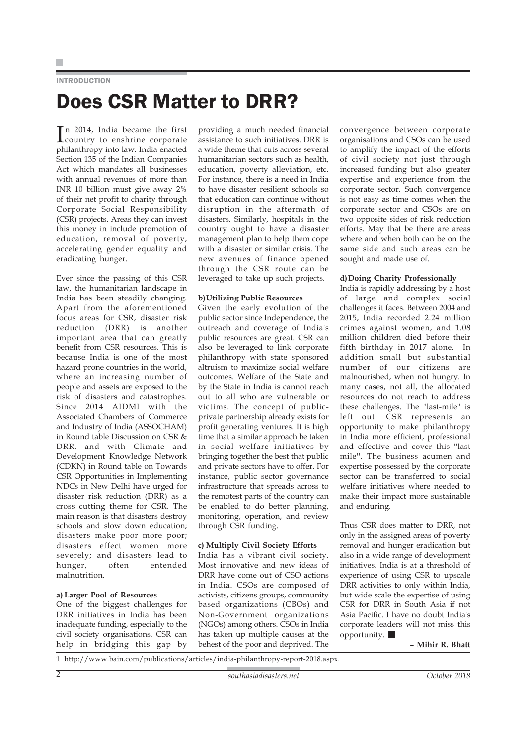### INTRODUCTION

### Does CSR Matter to DRR?

In 2014, India became the first<br>country to enshrine corporate n 2014, India became the first philanthropy into law. India enacted Section 135 of the Indian Companies Act which mandates all businesses with annual revenues of more than INR 10 billion must give away 2% of their net profit to charity through Corporate Social Responsibility (CSR) projects. Areas they can invest this money in include promotion of education, removal of poverty, accelerating gender equality and eradicating hunger.

Ever since the passing of this CSR law, the humanitarian landscape in India has been steadily changing. Apart from the aforementioned focus areas for CSR, disaster risk reduction (DRR) is another important area that can greatly benefit from CSR resources. This is because India is one of the most hazard prone countries in the world, where an increasing number of people and assets are exposed to the risk of disasters and catastrophes. Since 2014 AIDMI with the Associated Chambers of Commerce and Industry of India (ASSOCHAM) in Round table Discussion on CSR & DRR, and with Climate and Development Knowledge Network (CDKN) in Round table on Towards CSR Opportunities in Implementing NDCs in New Delhi have urged for disaster risk reduction (DRR) as a cross cutting theme for CSR. The main reason is that disasters destroy schools and slow down education; disasters make poor more poor; disasters effect women more severely; and disasters lead to hunger, often entended malnutrition.

### **a) Larger Pool of Resources**

One of the biggest challenges for DRR initiatives in India has been inadequate funding, especially to the civil society organisations. CSR can help in bridging this gap by providing a much needed financial assistance to such initiatives. DRR is a wide theme that cuts across several humanitarian sectors such as health, education, poverty alleviation, etc. For instance, there is a need in India to have disaster resilient schools so that education can continue without disruption in the aftermath of disasters. Similarly, hospitals in the country ought to have a disaster management plan to help them cope with a disaster or similar crisis. The new avenues of finance opened through the CSR route can be leveraged to take up such projects.

#### **b)Utilizing Public Resources**

Given the early evolution of the public sector since Independence, the outreach and coverage of India's public resources are great. CSR can also be leveraged to link corporate philanthropy with state sponsored altruism to maximize social welfare outcomes. Welfare of the State and by the State in India is cannot reach out to all who are vulnerable or victims. The concept of publicprivate partnership already exists for profit generating ventures. It is high time that a similar approach be taken in social welfare initiatives by bringing together the best that public and private sectors have to offer. For instance, public sector governance infrastructure that spreads across to the remotest parts of the country can be enabled to do better planning, monitoring, operation, and review through CSR funding.

### **c) Multiply Civil Society Efforts**

India has a vibrant civil society. Most innovative and new ideas of DRR have come out of CSO actions in India. CSOs are composed of activists, citizens groups, community based organizations (CBOs) and Non-Government organizations (NGOs) among others. CSOs in India has taken up multiple causes at the behest of the poor and deprived. The

convergence between corporate organisations and CSOs can be used to amplify the impact of the efforts of civil society not just through increased funding but also greater expertise and experience from the corporate sector. Such convergence is not easy as time comes when the corporate sector and CSOs are on two opposite sides of risk reduction efforts. May that be there are areas where and when both can be on the same side and such areas can be sought and made use of.

#### **d)Doing Charity Professionally**

India is rapidly addressing by a host of large and complex social challenges it faces. Between 2004 and 2015, India recorded 2.24 million crimes against women, and 1.08 million children died before their fifth birthday in 2017 alone. In addition small but substantial number of our citizens are malnourished, when not hungry. In many cases, not all, the allocated resources do not reach to address these challenges. The ''last-mile'' is left out. CSR represents an opportunity to make philanthropy in India more efficient, professional and effective and cover this ''last mile''. The business acumen and expertise possessed by the corporate sector can be transferred to social welfare initiatives where needed to make their impact more sustainable and enduring.

Thus CSR does matter to DRR, not only in the assigned areas of poverty removal and hunger eradication but also in a wide range of development initiatives. India is at a threshold of experience of using CSR to upscale DRR activities to only within India, but wide scale the expertise of using CSR for DRR in South Asia if not Asia Pacific. I have no doubt India's corporate leaders will not miss this opportunity.

**– Mihir R. Bhatt**

1 http://www.bain.com/publications/articles/india-philanthropy-report-2018.aspx.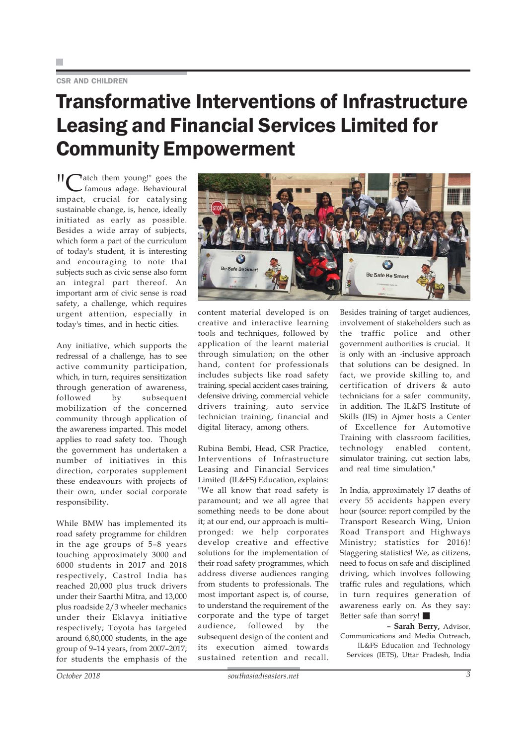### Transformative Interventions of Infrastructure Leasing and Financial Services Limited for Community Empowerment

II catch them young!" goes the famous adage. Behavioural impact, crucial for catalysing sustainable change, is, hence, ideally initiated as early as possible. Besides a wide array of subjects, which form a part of the curriculum of today's student, it is interesting and encouraging to note that subjects such as civic sense also form an integral part thereof. An important arm of civic sense is road safety, a challenge, which requires urgent attention, especially in today's times, and in hectic cities.

Any initiative, which supports the redressal of a challenge, has to see active community participation, which, in turn, requires sensitization through generation of awareness, followed by subsequent mobilization of the concerned community through application of the awareness imparted. This model applies to road safety too. Though the government has undertaken a number of initiatives in this direction, corporates supplement these endeavours with projects of their own, under social corporate responsibility.

While BMW has implemented its road safety programme for children in the age groups of 5–8 years touching approximately 3000 and 6000 students in 2017 and 2018 respectively, Castrol India has reached 20,000 plus truck drivers under their Saarthi Mitra, and 13,000 plus roadside 2/3 wheeler mechanics under their Eklavya initiative respectively; Toyota has targeted around 6,80,000 students, in the age group of 9–14 years, from 2007–2017; for students the emphasis of the



content material developed is on creative and interactive learning tools and techniques, followed by application of the learnt material through simulation; on the other hand, content for professionals includes subjects like road safety training, special accident cases training, defensive driving, commercial vehicle drivers training, auto service technician training, financial and digital literacy, among others.

Rubina Bembi, Head, CSR Practice, Interventions of Infrastructure Leasing and Financial Services Limited (IL&FS) Education, explains: "We all know that road safety is paramount; and we all agree that something needs to be done about it; at our end, our approach is multi– pronged: we help corporates develop creative and effective solutions for the implementation of their road safety programmes, which address diverse audiences ranging from students to professionals. The most important aspect is, of course, to understand the requirement of the corporate and the type of target audience, followed by the subsequent design of the content and its execution aimed towards sustained retention and recall.

Besides training of target audiences, involvement of stakeholders such as the traffic police and other government authorities is crucial. It is only with an -inclusive approach that solutions can be designed. In fact, we provide skilling to, and certification of drivers & auto technicians for a safer community, in addition. The IL&FS Institute of Skills (IIS) in Ajmer hosts a Center of Excellence for Automotive Training with classroom facilities, technology enabled content, simulator training, cut section labs, and real time simulation."

In India, approximately 17 deaths of every 55 accidents happen every hour (source: report compiled by the Transport Research Wing, Union Road Transport and Highways Ministry; statistics for 2016)! Staggering statistics! We, as citizens, need to focus on safe and disciplined driving, which involves following traffic rules and regulations, which in turn requires generation of awareness early on. As they say: Better safe than sorry!

**– Sarah Berry,** Advisor, Communications and Media Outreach, IL&FS Education and Technology Services (IETS), Uttar Pradesh, India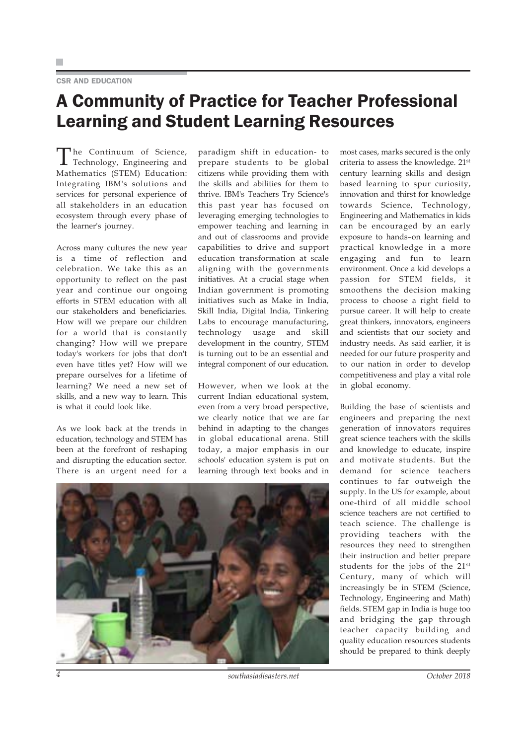### CSR AND EDUCATION

### A Community of Practice for Teacher Professional Learning and Student Learning Resources

The Continuum of Science, Technology, Engineering and Mathematics (STEM) Education: Integrating IBM's solutions and services for personal experience of all stakeholders in an education ecosystem through every phase of the learner's journey.

Across many cultures the new year is a time of reflection and celebration. We take this as an opportunity to reflect on the past year and continue our ongoing efforts in STEM education with all our stakeholders and beneficiaries. How will we prepare our children for a world that is constantly changing? How will we prepare today's workers for jobs that don't even have titles yet? How will we prepare ourselves for a lifetime of learning? We need a new set of skills, and a new way to learn. This is what it could look like.

As we look back at the trends in education, technology and STEM has been at the forefront of reshaping and disrupting the education sector. There is an urgent need for a

paradigm shift in education- to prepare students to be global citizens while providing them with the skills and abilities for them to thrive. IBM's Teachers Try Science's this past year has focused on leveraging emerging technologies to empower teaching and learning in and out of classrooms and provide capabilities to drive and support education transformation at scale aligning with the governments initiatives. At a crucial stage when Indian government is promoting initiatives such as Make in India, Skill India, Digital India, Tinkering Labs to encourage manufacturing, technology usage and skill development in the country, STEM is turning out to be an essential and integral component of our education.

However, when we look at the current Indian educational system, even from a very broad perspective, we clearly notice that we are far behind in adapting to the changes in global educational arena. Still today, a major emphasis in our schools' education system is put on learning through text books and in most cases, marks secured is the only criteria to assess the knowledge. 21st century learning skills and design based learning to spur curiosity, innovation and thirst for knowledge towards Science, Technology, Engineering and Mathematics in kids can be encouraged by an early exposure to hands–on learning and practical knowledge in a more engaging and fun to learn environment. Once a kid develops a passion for STEM fields, it smoothens the decision making process to choose a right field to pursue career. It will help to create great thinkers, innovators, engineers and scientists that our society and industry needs. As said earlier, it is needed for our future prosperity and to our nation in order to develop competitiveness and play a vital role in global economy.

Building the base of scientists and engineers and preparing the next generation of innovators requires great science teachers with the skills and knowledge to educate, inspire and motivate students. But the demand for science teachers continues to far outweigh the supply. In the US for example, about one-third of all middle school science teachers are not certified to teach science. The challenge is providing teachers with the resources they need to strengthen their instruction and better prepare students for the jobs of the 21st Century, many of which will increasingly be in STEM (Science, Technology, Engineering and Math) fields. STEM gap in India is huge too and bridging the gap through teacher capacity building and quality education resources students should be prepared to think deeply



*4 southasiadisasters.net October 2018*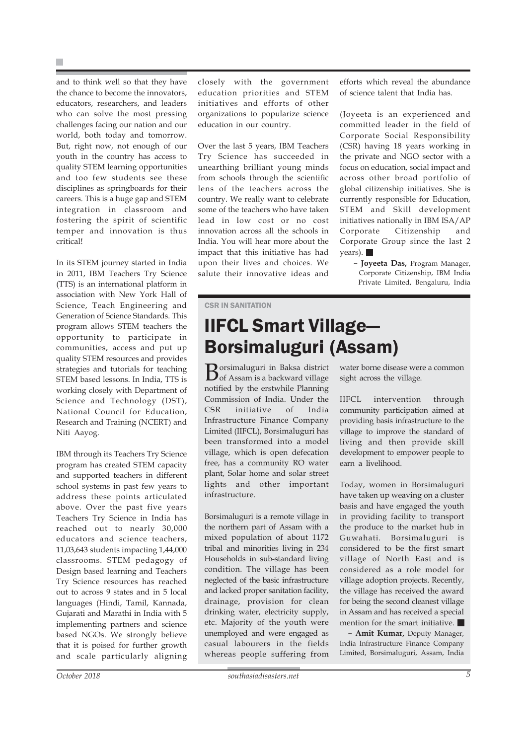and to think well so that they have the chance to become the innovators, educators, researchers, and leaders who can solve the most pressing challenges facing our nation and our world, both today and tomorrow. But, right now, not enough of our youth in the country has access to quality STEM learning opportunities and too few students see these disciplines as springboards for their careers. This is a huge gap and STEM integration in classroom and fostering the spirit of scientific temper and innovation is thus critical!

In its STEM journey started in India in 2011, IBM Teachers Try Science (TTS) is an international platform in association with New York Hall of Science, Teach Engineering and Generation of Science Standards. This program allows STEM teachers the opportunity to participate in communities, access and put up quality STEM resources and provides strategies and tutorials for teaching STEM based lessons. In India, TTS is working closely with Department of Science and Technology (DST), National Council for Education, Research and Training (NCERT) and Niti Aayog.

IBM through its Teachers Try Science program has created STEM capacity and supported teachers in different school systems in past few years to address these points articulated above. Over the past five years Teachers Try Science in India has reached out to nearly 30,000 educators and science teachers, 11,03,643 students impacting 1,44,000 classrooms. STEM pedagogy of Design based learning and Teachers Try Science resources has reached out to across 9 states and in 5 local languages (Hindi, Tamil, Kannada, Gujarati and Marathi in India with 5 implementing partners and science based NGOs. We strongly believe that it is poised for further growth and scale particularly aligning closely with the government education priorities and STEM initiatives and efforts of other organizations to popularize science education in our country.

Over the last 5 years, IBM Teachers Try Science has succeeded in unearthing brilliant young minds from schools through the scientific lens of the teachers across the country. We really want to celebrate some of the teachers who have taken lead in low cost or no cost innovation across all the schools in India. You will hear more about the impact that this initiative has had upon their lives and choices. We salute their innovative ideas and

efforts which reveal the abundance of science talent that India has.

(Joyeeta is an experienced and committed leader in the field of Corporate Social Responsibility (CSR) having 18 years working in the private and NGO sector with a focus on education, social impact and across other broad portfolio of global citizenship initiatives. She is currently responsible for Education, STEM and Skill development initiatives nationally in IBM ISA/AP Corporate Citizenship and Corporate Group since the last 2 years).

**– Joyeeta Das,** Program Manager, Corporate Citizenship, IBM India Private Limited, Bengaluru, India

### CSR IN SANITATION

### IIFCL Smart Village— Borsimaluguri (Assam)

Borsimaluguri in Baksa district of Assam is a backward village notified by the erstwhile Planning Commission of India. Under the CSR initiative of India Infrastructure Finance Company Limited (IIFCL), Borsimaluguri has been transformed into a model village, which is open defecation free, has a community RO water plant, Solar home and solar street lights and other important infrastructure.

Borsimaluguri is a remote village in the northern part of Assam with a mixed population of about 1172 tribal and minorities living in 234 Households in sub-standard living condition. The village has been neglected of the basic infrastructure and lacked proper sanitation facility, drainage, provision for clean drinking water, electricity supply, etc. Majority of the youth were unemployed and were engaged as casual labourers in the fields whereas people suffering from

water borne disease were a common sight across the village.

IIFCL intervention through community participation aimed at providing basis infrastructure to the village to improve the standard of living and then provide skill development to empower people to earn a livelihood.

Today, women in Borsimaluguri have taken up weaving on a cluster basis and have engaged the youth in providing facility to transport the produce to the market hub in Guwahati. Borsimaluguri is considered to be the first smart village of North East and is considered as a role model for village adoption projects. Recently, the village has received the award for being the second cleanest village in Assam and has received a special mention for the smart initiative.

**– Amit Kumar,** Deputy Manager, India Infrastructure Finance Company Limited, Borsimaluguri, Assam, India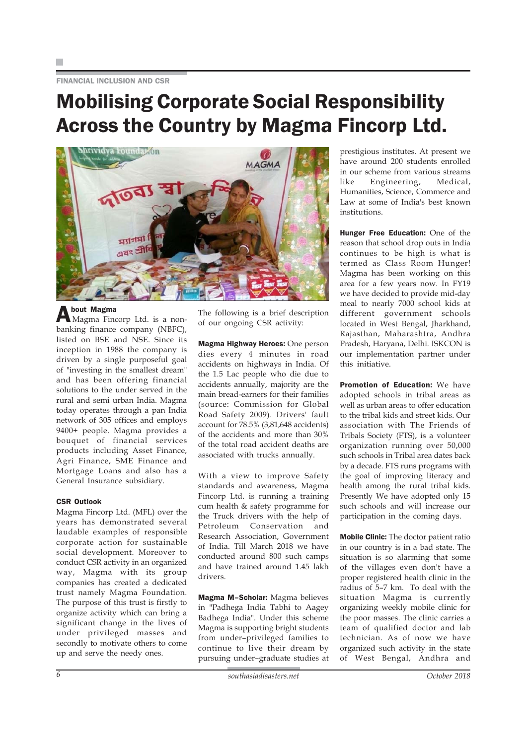FINANCIAL INCLUSION AND CSR

### Mobilising Corporate Social Responsibility Across the Country by Magma Fincorp Ltd.



About Magma Magma Fincorp Ltd. is a nonbanking finance company (NBFC), listed on BSE and NSE. Since its inception in 1988 the company is driven by a single purposeful goal of "investing in the smallest dream" and has been offering financial solutions to the under served in the rural and semi urban India. Magma today operates through a pan India network of 305 offices and employs 9400+ people. Magma provides a bouquet of financial services products including Asset Finance, Agri Finance, SME Finance and Mortgage Loans and also has a General Insurance subsidiary.

### CSR Outlook

Magma Fincorp Ltd. (MFL) over the years has demonstrated several laudable examples of responsible corporate action for sustainable social development. Moreover to conduct CSR activity in an organized way, Magma with its group companies has created a dedicated trust namely Magma Foundation. The purpose of this trust is firstly to organize activity which can bring a significant change in the lives of under privileged masses and secondly to motivate others to come up and serve the needy ones.

The following is a brief description of our ongoing CSR activity:

Magma Highway Heroes: One person dies every 4 minutes in road accidents on highways in India. Of the 1.5 Lac people who die due to accidents annually, majority are the main bread-earners for their families (source: Commission for Global Road Safety 2009). Drivers' fault account for 78.5% (3,81,648 accidents) of the accidents and more than 30% of the total road accident deaths are associated with trucks annually.

With a view to improve Safety standards and awareness, Magma Fincorp Ltd. is running a training cum health & safety programme for the Truck drivers with the help of Petroleum Conservation and Research Association, Government of India. Till March 2018 we have conducted around 800 such camps and have trained around 1.45 lakh drivers.

Magma M–Scholar: Magma believes in "Padhega India Tabhi to Aagey Badhega India". Under this scheme Magma is supporting bright students from under–privileged families to continue to live their dream by pursuing under–graduate studies at

prestigious institutes. At present we have around 200 students enrolled in our scheme from various streams like Engineering, Medical, Humanities, Science, Commerce and Law at some of India's best known institutions.

Hunger Free Education: One of the reason that school drop outs in India continues to be high is what is termed as Class Room Hunger! Magma has been working on this area for a few years now. In FY19 we have decided to provide mid-day meal to nearly 7000 school kids at different government schools located in West Bengal, Jharkhand, Rajasthan, Maharashtra, Andhra Pradesh, Haryana, Delhi. ISKCON is our implementation partner under this initiative.

Promotion of Education: We have adopted schools in tribal areas as well as urban areas to offer education to the tribal kids and street kids. Our association with The Friends of Tribals Society (FTS), is a volunteer organization running over 50,000 such schools in Tribal area dates back by a decade. FTS runs programs with the goal of improving literacy and health among the rural tribal kids. Presently We have adopted only 15 such schools and will increase our participation in the coming days.

Mobile Clinic: The doctor patient ratio in our country is in a bad state. The situation is so alarming that some of the villages even don't have a proper registered health clinic in the radius of 5–7 km. To deal with the situation Magma is currently organizing weekly mobile clinic for the poor masses. The clinic carries a team of qualified doctor and lab technician. As of now we have organized such activity in the state of West Bengal, Andhra and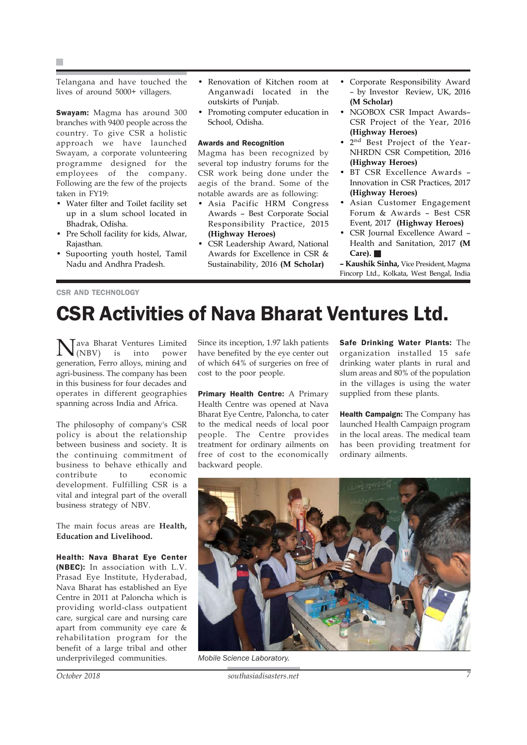Telangana and have touched the lives of around 5000+ villagers.

Swayam: Magma has around 300 branches with 9400 people across the country. To give CSR a holistic approach we have launched Swayam, a corporate volunteering programme designed for the employees of the company. Following are the few of the projects taken in FY19:

- Water filter and Toilet facility set up in a slum school located in Bhadrak, Odisha.
- Pre Scholl facility for kids, Alwar, Rajasthan.
- Supoorting youth hostel, Tamil Nadu and Andhra Pradesh.
- Renovation of Kitchen room at Anganwadi located in the outskirts of Punjab.
- Promoting computer education in School, Odisha.

### Awards and Recognition

Magma has been recognized by several top industry forums for the CSR work being done under the aegis of the brand. Some of the notable awards are as following:

- Asia Pacific HRM Congress Awards – Best Corporate Social Responsibility Practice, 2015 **(Highway Heroes)**
- CSR Leadership Award, National Awards for Excellence in CSR & Sustainability, 2016 **(M Scholar)**
- Corporate Responsibility Award – by Investor Review, UK, 2016 **(M Scholar)**
- NGOBOX CSR Impact Awards– CSR Project of the Year, 2016 **(Highway Heroes)**
- 2nd Best Project of the Year-NHRDN CSR Competition, 2016 **(Highway Heroes)**
- BT CSR Excellence Awards Innovation in CSR Practices, 2017 **(Highway Heroes)**
- Asian Customer Engagement Forum & Awards – Best CSR Event, 2017 **(Highway Heroes)**
- CSR Journal Excellence Award Health and Sanitation, 2017 **(M Care).**

**– Kaushik Sinha,** Vice President, Magma Fincorp Ltd., Kolkata, West Bengal, India

#### CSR AND TECHNOLOGY

## CSR Activities of Nava Bharat Ventures Ltd.

Nava Bharat Ventures Limited (NBV) is into power generation, Ferro alloys, mining and agri-business. The company has been in this business for four decades and operates in different geographies spanning across India and Africa.

The philosophy of company's CSR policy is about the relationship between business and society. It is the continuing commitment of business to behave ethically and contribute to economic development. Fulfilling CSR is a vital and integral part of the overall business strategy of NBV.

The main focus areas are **Health, Education and Livelihood.**

Health: Nava Bharat Eye Center (NBEC): In association with L.V. Prasad Eye Institute, Hyderabad, Nava Bharat has established an Eye Centre in 2011 at Paloncha which is providing world-class outpatient care, surgical care and nursing care apart from community eye care & rehabilitation program for the benefit of a large tribal and other underprivileged communities.

Since its inception, 1.97 lakh patients have benefited by the eye center out of which 64% of surgeries on free of cost to the poor people.

Primary Health Centre: A Primary Health Centre was opened at Nava Bharat Eye Centre, Paloncha, to cater to the medical needs of local poor people. The Centre provides treatment for ordinary ailments on free of cost to the economically backward people.

Safe Drinking Water Plants: The organization installed 15 safe drinking water plants in rural and slum areas and 80% of the population in the villages is using the water supplied from these plants.

Health Campaign: The Company has launched Health Campaign program in the local areas. The medical team has been providing treatment for ordinary ailments.



*Mobile Science Laboratory.*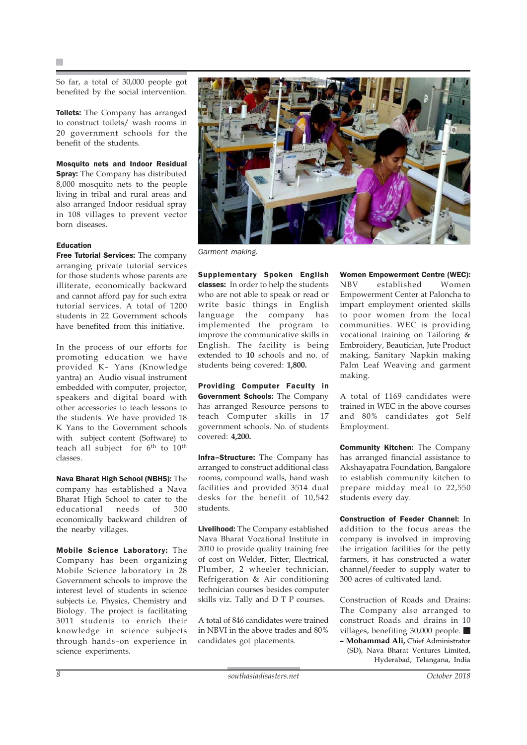So far, a total of 30,000 people got benefited by the social intervention.

**Toilets:** The Company has arranged to construct toilets/ wash rooms in 20 government schools for the benefit of the students.

Mosquito nets and Indoor Residual **Spray:** The Company has distributed 8,000 mosquito nets to the people living in tribal and rural areas and also arranged Indoor residual spray in 108 villages to prevent vector born diseases.

### Education

Free Tutorial Services: The company arranging private tutorial services for those students whose parents are illiterate, economically backward and cannot afford pay for such extra tutorial services. A total of 1200 students in 22 Government schools have benefited from this initiative.

In the process of our efforts for promoting education we have provided K– Yans (Knowledge yantra) an Audio visual instrument embedded with computer, projector, speakers and digital board with other accessories to teach lessons to the students. We have provided 18 K Yans to the Government schools with subject content (Software) to teach all subject for  $6<sup>th</sup>$  to  $10<sup>th</sup>$ classes.

Nava Bharat High School (NBHS): The company has established a Nava Bharat High School to cater to the educational needs of 300 economically backward children of the nearby villages.

Mobile Science Laboratory: The Company has been organizing Mobile Science laboratory in 28 Government schools to improve the interest level of students in science subjects i.e. Physics, Chemistry and Biology. The project is facilitating 3011 students to enrich their knowledge in science subjects through hands–on experience in science experiments.



*Garment making.*

Supplementary Spoken English classes: In order to help the students who are not able to speak or read or write basic things in English language the company has implemented the program to improve the communicative skills in English. The facility is being extended to **10** schools and no. of students being covered: **1,800.**

Providing Computer Faculty in Government Schools: The Company has arranged Resource persons to teach Computer skills in 17 government schools. No. of students covered: **4,200.**

Infra–Structure: The Company has arranged to construct additional class rooms, compound walls, hand wash facilities and provided 3514 dual desks for the benefit of 10,542 students.

Livelihood: The Company established Nava Bharat Vocational Institute in 2010 to provide quality training free of cost on Welder, Fitter, Electrical, Plumber, 2 wheeler technician, Refrigeration & Air conditioning technician courses besides computer skills viz. Tally and D T P courses.

A total of 846 candidates were trained in NBVI in the above trades and 80% candidates got placements.

Women Empowerment Centre (WEC): NBV established Women Empowerment Center at Paloncha to impart employment oriented skills to poor women from the local communities. WEC is providing vocational training on Tailoring & Embroidery, Beautician, Jute Product making, Sanitary Napkin making Palm Leaf Weaving and garment making.

A total of 1169 candidates were trained in WEC in the above courses and 80% candidates got Self Employment.

Community Kitchen: The Company has arranged financial assistance to Akshayapatra Foundation, Bangalore to establish community kitchen to prepare midday meal to 22,550 students every day.

Construction of Feeder Channel: In addition to the focus areas the company is involved in improving the irrigation facilities for the petty farmers, it has constructed a water channel/feeder to supply water to 300 acres of cultivated land.

Construction of Roads and Drains: The Company also arranged to construct Roads and drains in 10 villages, benefiting 30,000 people. **– Mohammad Ali,** Chief Administrator (SD), Nava Bharat Ventures Limited, Hyderabad, Telangana, India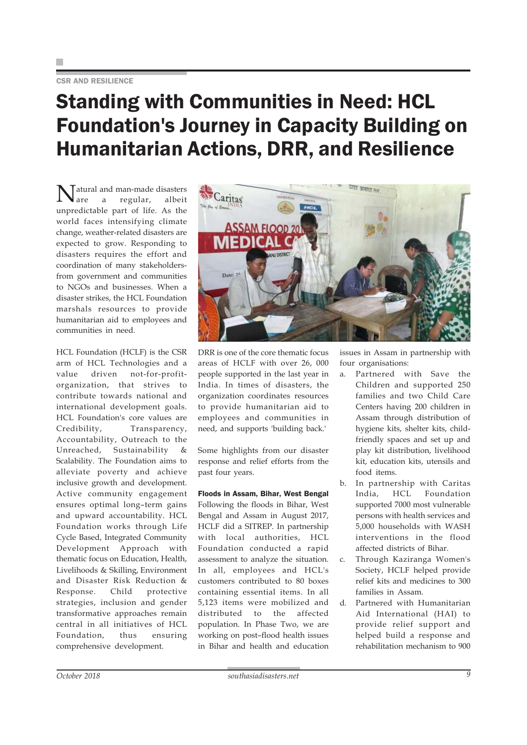### Standing with Communities in Need: HCL Foundation's Journey in Capacity Building on Humanitarian Actions, DRR, and Resilience

 $\begin{cases} \text{atural and man-made disasters} \\ \text{are} & \text{regular.} \end{cases}$ regular, unpredictable part of life. As the world faces intensifying climate change, weather-related disasters are expected to grow. Responding to disasters requires the effort and coordination of many stakeholdersfrom government and communities to NGOs and businesses. When a disaster strikes, the HCL Foundation marshals resources to provide humanitarian aid to employees and communities in need.

HCL Foundation (HCLF) is the CSR arm of HCL Technologies and a value driven not-for-profitorganization, that strives to contribute towards national and international development goals. HCL Foundation's core values are Credibility, Transparency, Accountability, Outreach to the Unreached, Sustainability & Scalability. The Foundation aims to alleviate poverty and achieve inclusive growth and development. Active community engagement ensures optimal long–term gains and upward accountability. HCL Foundation works through Life Cycle Based, Integrated Community Development Approach with thematic focus on Education, Health, Livelihoods & Skilling, Environment and Disaster Risk Reduction & Response. Child protective strategies, inclusion and gender transformative approaches remain central in all initiatives of HCL Foundation, thus ensuring comprehensive development.



DRR is one of the core thematic focus areas of HCLF with over 26, 000 people supported in the last year in India. In times of disasters, the organization coordinates resources to provide humanitarian aid to employees and communities in need, and supports 'building back.'

Some highlights from our disaster response and relief efforts from the past four years.

Floods in Assam, Bihar, West Bengal Following the floods in Bihar, West Bengal and Assam in August 2017, HCLF did a SITREP. In partnership with local authorities, HCL Foundation conducted a rapid assessment to analyze the situation. In all, employees and HCL's customers contributed to 80 boxes containing essential items. In all 5,123 items were mobilized and distributed to the affected population. In Phase Two, we are working on post–flood health issues in Bihar and health and education

issues in Assam in partnership with four organisations:

- a. Partnered with Save the Children and supported 250 families and two Child Care Centers having 200 children in Assam through distribution of hygiene kits, shelter kits, childfriendly spaces and set up and play kit distribution, livelihood kit, education kits, utensils and food items.
- b. In partnership with Caritas India, HCL Foundation supported 7000 most vulnerable persons with health services and 5,000 households with WASH interventions in the flood affected districts of Bihar.
- c. Through Kaziranga Women's Society, HCLF helped provide relief kits and medicines to 300 families in Assam.
- d. Partnered with Humanitarian Aid International (HAI) to provide relief support and helped build a response and rehabilitation mechanism to 900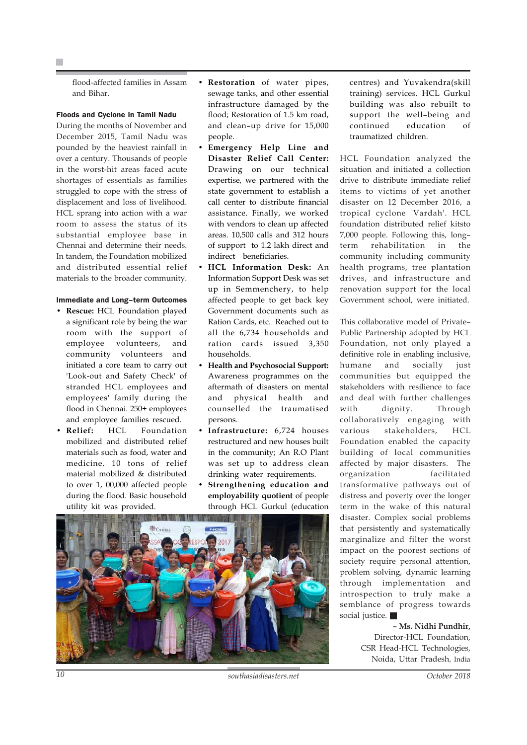flood-affected families in Assam and Bihar.

### Floods and Cyclone in Tamil Nadu

During the months of November and December 2015, Tamil Nadu was pounded by the heaviest rainfall in over a century. Thousands of people in the worst-hit areas faced acute shortages of essentials as families struggled to cope with the stress of displacement and loss of livelihood. HCL sprang into action with a war room to assess the status of its substantial employee base in Chennai and determine their needs. In tandem, the Foundation mobilized and distributed essential relief materials to the broader community.

#### Immediate and Long–term Outcomes

- **Rescue:** HCL Foundation played a significant role by being the war room with the support of employee volunteers, and community volunteers and initiated a core team to carry out 'Look-out and Safety Check' of stranded HCL employees and employees' family during the flood in Chennai. 250+ employees and employee families rescued.
- **Relief:** HCL Foundation mobilized and distributed relief materials such as food, water and medicine. 10 tons of relief material mobilized & distributed to over 1, 00,000 affected people during the flood. Basic household utility kit was provided.
- **Restoration** of water pipes, sewage tanks, and other essential infrastructure damaged by the flood; Restoration of 1.5 km road, and clean–up drive for 15,000 people.
- **Emergency Help Line and Disaster Relief Call Center:** Drawing on our technical expertise, we partnered with the state government to establish a call center to distribute financial assistance. Finally, we worked with vendors to clean up affected areas. 10,500 calls and 312 hours of support to 1.2 lakh direct and indirect beneficiaries.
- **HCL Information Desk:** An Information Support Desk was set up in Semmenchery, to help affected people to get back key Government documents such as Ration Cards, etc. Reached out to all the 6,734 households and ration cards issued 3,350 households.
- **Health and Psychosocial Support:** Awareness programmes on the aftermath of disasters on mental and physical health and counselled the traumatised persons.
- **Infrastructure:** 6,724 houses restructured and new houses built in the community; An R.O Plant was set up to address clean drinking water requirements.
- **Strengthening education and employability quotient** of people through HCL Gurkul (education



centres) and Yuvakendra(skill training) services. HCL Gurkul building was also rebuilt to support the well–being and continued education of traumatized children.

HCL Foundation analyzed the situation and initiated a collection drive to distribute immediate relief items to victims of yet another disaster on 12 December 2016, a tropical cyclone 'Vardah'. HCL foundation distributed relief kitsto 7,000 people. Following this, long– term rehabilitation in the community including community health programs, tree plantation drives, and infrastructure and renovation support for the local Government school, were initiated.

This collaborative model of Private– Public Partnership adopted by HCL Foundation, not only played a definitive role in enabling inclusive, humane and socially just communities but equipped the stakeholders with resilience to face and deal with further challenges with dignity. Through collaboratively engaging with various stakeholders, HCL Foundation enabled the capacity building of local communities affected by major disasters. The organization facilitated transformative pathways out of distress and poverty over the longer term in the wake of this natural disaster. Complex social problems that persistently and systematically marginalize and filter the worst impact on the poorest sections of society require personal attention, problem solving, dynamic learning through implementation and introspection to truly make a semblance of progress towards social justice.

> **– Ms. Nidhi Pundhir,** Director-HCL Foundation, CSR Head-HCL Technologies, Noida, Uttar Pradesh, India

*10 southasiadisasters.net October 2018*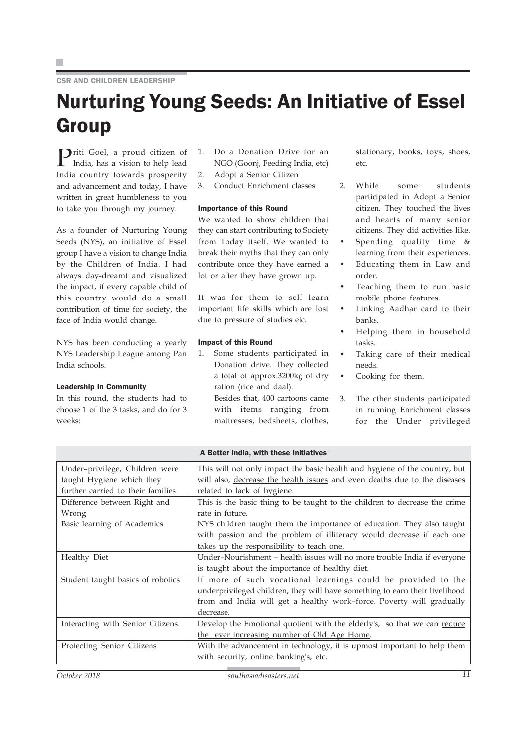F.

CSR AND CHILDREN LEADERSHIP

## Nurturing Young Seeds: An Initiative of Essel **Group**

 $\sum_{\text{rad}}$ riti Goel, a proud citizen of India, has a vision to help lead India country towards prosperity and advancement and today, I have written in great humbleness to you to take you through my journey.

As a founder of Nurturing Young Seeds (NYS), an initiative of Essel group I have a vision to change India by the Children of India. I had always day-dreamt and visualized the impact, if every capable child of this country would do a small contribution of time for society, the face of India would change.

NYS has been conducting a yearly NYS Leadership League among Pan India schools.

### Leadership in Community

In this round, the students had to choose 1 of the 3 tasks, and do for 3 weeks:

- 1. Do a Donation Drive for an NGO (Goonj, Feeding India, etc)
- 2. Adopt a Senior Citizen
- 3. Conduct Enrichment classes

### Importance of this Round

We wanted to show children that they can start contributing to Society from Today itself. We wanted to break their myths that they can only contribute once they have earned a lot or after they have grown up.

It was for them to self learn important life skills which are lost due to pressure of studies etc.

### Impact of this Round

1. Some students participated in Donation drive. They collected a total of approx.3200kg of dry ration (rice and daal). Besides that, 400 cartoons came

with items ranging from mattresses, bedsheets, clothes, stationary, books, toys, shoes, etc.

- 2. While some students participated in Adopt a Senior citizen. They touched the lives and hearts of many senior citizens. They did activities like.
	- Spending quality time & learning from their experiences.
- Educating them in Law and order.
- Teaching them to run basic mobile phone features.
- Linking Aadhar card to their banks.
- Helping them in household tasks.
- Taking care of their medical needs.
- Cooking for them.
- 3. The other students participated in running Enrichment classes for the Under privileged

### A Better India, with these Initiatives

| Under-privilege, Children were    | This will not only impact the basic health and hygiene of the country, but  |
|-----------------------------------|-----------------------------------------------------------------------------|
| taught Hygiene which they         | will also, decrease the health issues and even deaths due to the diseases   |
| further carried to their families | related to lack of hygiene.                                                 |
| Difference between Right and      | This is the basic thing to be taught to the children to decrease the crime  |
| Wrong                             | rate in future.                                                             |
| Basic learning of Academics       | NYS children taught them the importance of education. They also taught      |
|                                   | with passion and the problem of illiteracy would decrease if each one       |
|                                   | takes up the responsibility to teach one.                                   |
| Healthy Diet                      | Under-Nourishment - health issues will no more trouble India if everyone    |
|                                   | is taught about the importance of healthy diet.                             |
| Student taught basics of robotics | If more of such vocational learnings could be provided to the               |
|                                   | underprivileged children, they will have something to earn their livelihood |
|                                   | from and India will get a healthy work-force. Poverty will gradually        |
|                                   | decrease.                                                                   |
| Interacting with Senior Citizens  | Develop the Emotional quotient with the elderly's, so that we can reduce    |
|                                   | the ever increasing number of Old Age Home.                                 |
| Protecting Senior Citizens        | With the advancement in technology, it is upmost important to help them     |
|                                   | with security, online banking's, etc.                                       |